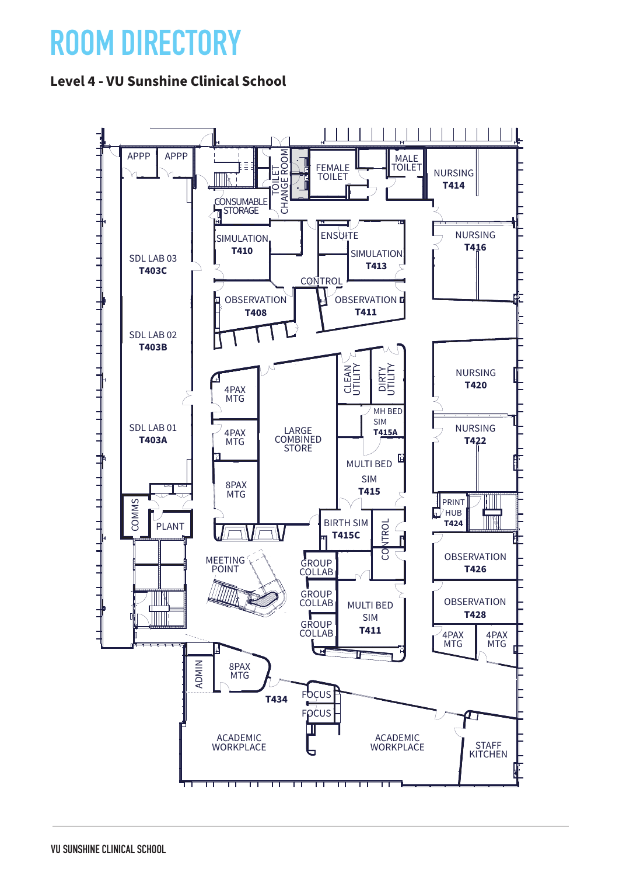## **ROOM DIRECTORY**

## **Level 4 - VU Sunshine Clinical School**